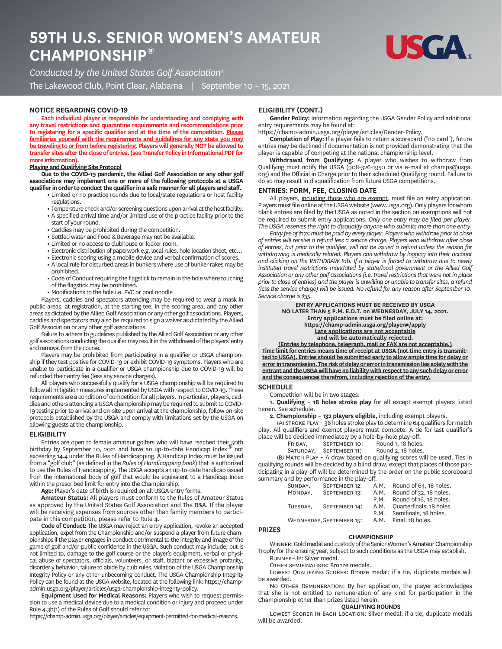# **TH U.S. SENIOR WOMEN'S AMATEUR CHAMPIONSHIP®**



*Conducted by the United States Golf Association®*

The Lakewood Club, Point Clear, Alabama | September 10 – 15, 2021

### **NOTICE REGARDING COVID**

**Each individual player is responsible for understanding and complying with any travel restrictions and quarantine requirements and recommendations prior to registering for a specific qualifier and at the time of the competition. Please familiarize yourself with the requirements and guidelines for any state you may be traveling to or from before registering. Players will generally NOT be allowed to transfer sites after the close of entries. (see Transfer Policy in Informational PDF for more information).**

### **Playing and Qualifying Site Protocol**

**Due to the COVID-19 pandemic, the Allied Golf Association or any other golf associations may implement one or more of the following protocols at a USGA qualifier in order to conduct the qualifier in a safe manner for all players and staff.**

- **•** Limited or no practice rounds due to local/state regulations or host facility regulations.
- **•** Temperature check and/or screening questions upon arrival at the host facility.
- **•** A specified arrival time and/or limited use of the practice facility prior to the
- start of your round.
- **•** Caddies may be prohibited during the competition.
- **•** Bottled water and Food & Beverage may not be available.
- **•** Limited or no access to clubhouse or locker room.
- **•** Electronic distribution of paperwork e.g. local rules, hole location sheet, etc…
- **•** Electronic scoring using a mobile device and verbal confirmation of scores.
- **•** A local rule for disturbed areas in bunkers where use of bunker rakes may be prohibited.
- **•** Code of Conduct requiring the flagstick to remain in the hole where touching of the flagstick may be prohibited.
- **•** Modifications to the hole i.e. PVC or pool noodle

Players, caddies and spectators attending may be required to wear a mask in public areas, at registration, at the starting tee, in the scoring area, and any other areas as dictated by the Allied Golf Association or any other golf associations. Players, caddies and spectators may also be required to sign a waiver as dictated by the Allied Golf Association or any other golf associations.

Failure to adhere to guidelines published by the Allied Golf Association or any other golf associations conducting the qualifier may result in the withdrawal of the players' entry and removal from the course.

Players may be prohibited from participating in a qualifier or USGA championship if they test positive for COVID-19 or exhibit COVID-19 symptoms. Players who are unable to participate in a qualifier or USGA championship due to COVID-19 will be refunded their entry fee (less any service charges).

All players who successfully qualify for a USGA championship will be required to follow all mitigation measures implemented by USGA with respect to COVID-19. These requirements are a condition of competition for all players. In particular, players, caddies and others attending a USGA championship may be required to submit to COVID-19 testing prior to arrival and on-site upon arrival at the championship, follow on-site protocols established by the USGA and comply with limitations set by the USGA on allowing guests at the championship.

#### **ELIGIBILITY**

Entries are open to female amateur golfers who will have reached their 50th birthday by September 10, 2021 and have an up-to-date Handicap Index<sup>®</sup> not exceeding 14.4 under the Rules of Handicapping. A Handicap Index must be issued from a "golf club" (as defined in the *Rules of Handicapping book*) that is authorized to use the Rules of Handicapping. The USGA accepts an up-to-date handicap issued from the international body of golf that would be equivalent to a Handicap Index within the prescribed limit for entry into the Championship.

**Age:** Player's date of birth is required on all USGA entry forms.

**Amateur Status:** All players must conform to the Rules of Amateur Status as approved by the United States Golf Association and The R&A. If the player will be receiving expenses from sources other than family members to participate in this competition, please refer to Rule 4.

**Code of Conduct:** The USGA may reject an entry application, revoke an accepted application, expel from the Championship and/or suspend a player from future championships if the player engages in conduct detrimental to the integrity and image of the game of golf and/or public confidence in the USGA. Such conduct may include, but is not limited to, damage to the golf course or the player's equipment, verbal or physical abuse of spectators, officials, volunteers, or staff, blatant or excessive profanity, disorderly behavior, failure to abide by club rules, violation of the USGA Championship Integrity Policy or any other unbecoming conduct. The USGA Championship Integrity Policy can be found at the USGA website, located at the following link: https://champadmin.usga.org/player/articles/usga-championship-integrity-policy.

**Equipment Used for Medical Reasons:** Players who wish to request permission to use a medical device due to a medical condition or injury and proceed under Rule 4.3b(1) of the Rules of Golf should refer to:

https://champ-admin.usga.org/player/articles/equipment-permitted-for-medical-reasons.

# **ELIGIBILITY CONT.**

**Gender Policy:** Information regarding the USGA Gender Policy and additional entry requirements may be found at:

https://champ-admin.usga.org/player/articles/Gender-Policy.

**Completion of Play:** If a player fails to return a scorecard ("no card"), future entries may be declined if documentation is not provided demonstrating that the player is capable of competing at the national championship level.

**Withdrawal from Qualifying:** A player who wishes to withdraw from Qualifying must notify the USGA (908-326-1950 or via e-mail at champs@usga. org) and the Official in Charge prior to their scheduled Qualifying round. Failure to do so may result in disqualification from future USGA competitions.

#### **ENTRIES: FORM, FEE, CLOSING DATE**

All players, including those who are exempt, must file an entry application. Players must file online at the USGAwebsite (www.usga.org). Only players for whom blank entries are filed by the USGA as noted in the section on exemptions will not be required to submit entry applications. *Only one entry may be filed per player. The USGA reserves the right to disqualify anyone who submits more than one entry.*

*Entry fee of \$175 must be paid by every player. Players who withdraw prior to close of entries will receive a refund less a service charge. Players who withdraw after close of entries, but prior to the qualifier, will not be issued a refund unless the reason for withdrawing is medically related. Players can withdraw by logging into their account and clicking on the WITHDRAW tab. If a player is forced to withdraw due to newly instituted travel restrictions mandated by state/local government or the Allied Golf Association or any other golf associations (i.e. travel restrictions that were not in place prior to close of entries) and the player is unwilling or unable to transfer sites, a refund (less the service charge) will be issued. No refund for any reason after September 10. Service charge is \$35.*

> **ENTRY APPLICATIONS MUST BE RECEIVED BY USGA NO LATER THAN 5 P.M. E.D.T. on WEDNESDAY, JULY 14, 2021. Entry applications must be filed online at: https://champ-admin.usga.org/player#/apply Late applications are not acceptable and will be automatically rejected.**

**(Entries by telephone, telegraph, mail or FAX are not acceptable.) Time limit for entries means time of receipt at USGA (not time entry is transmitted to USGA). Entries should be submitted early to allow ample time for delay or error in transmission. The risk of delay or error in transmission lies solely with the entrant and the USGA will have no liability with respect to any such delay or error and the consequences therefrom, including rejection of the entry.**

#### **SCHEDULE**

**PRIZES**

Competition will be in two stages:

**1. Qualifying – 18 holes stroke play** for all except exempt players listed herein. See schedule.

**2. Championship – 132 players eligible,** including exempt players.

(A) STROKE PLAY - 36 holes stroke play to determine 64 qualifiers for match play. All qualifiers and exempt players must compete. A tie for last qualifier's place will be decided immediately by a hole-by-hole play-off.

| FRIDAY. | SEPTEMBER 10: | Round 1, 18 holes. |
|---------|---------------|--------------------|
|---------|---------------|--------------------|

SATURDAY, SEPTEMBER 11: Round 2, 18 holes.

(B) MATCH PLAY - A draw based on qualifying scores will be used. Ties in qualifying rounds will be decided by a blind draw, except that places of those participating in a play-off will be determined by the order on the public scoreboard summary and by performance in the play-off.

| SUNDAY.  | SEPTEMBER 12:            | A.M. | Round of 64, 18 holes.   |
|----------|--------------------------|------|--------------------------|
| MONDAY.  | SEPTEMBER 13:            | A.M. | Round of 32, 18 holes.   |
|          |                          | P.M. | Round of 16, 18 holes.   |
| TUESDAY. | SEPTEMBER 14:            | A.M. | Quarterfinals, 18 holes. |
|          |                          | P.M. | Semifinals, 18 holes.    |
|          | WEDNESDAY, SEPTEMBER 15: | A.M. | Final, 18 holes.         |

#### **CHAMPIONSHIP**

WINNER: Gold medal and custody of the Senior Women's Amateur Championship Trophy for the ensuing year, subject to such conditions as the USGA may establish. RUNNER-UP: Silver medal.

OTHER SEMIFINALISTS: Bronze medals.

LOWEST QUALIFYING SCORER: Bronze medal; if a tie, duplicate medals will be awarded.

NO OTHER REMUNERATION: By her application, the player acknowledges that she is not entitled to remuneration of any kind for participation in the Championship other than prizes listed herein.

# **QUALIFYING ROUNDS**

LOWEST SCORER IN EACH LOCATION: Silver medal; if a tie, duplicate medals will be awarded.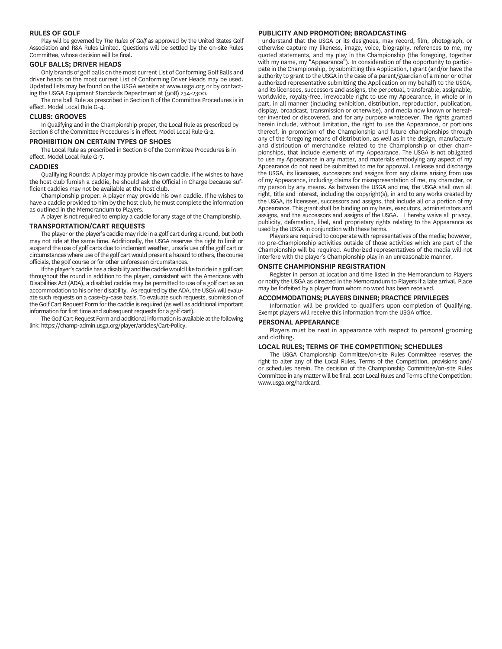#### **RULES OF GOLF**

Play will be governed by *The Rules of Golf* as approved by the United States Golf Association and R&A Rules Limited. Questions will be settled by the on-site Rules Committee, whose decision will be final.

#### **GOLF BALLS; DRIVER HEADS**

Only brands of golf balls on the most current List of Conforming Golf Balls and driver heads on the most current List of Conforming Driver Heads may be used. Updated lists may be found on the USGA website at www.usga.org or by contacting the USGA Equipment Standards Department at (908) 234-2300.

The one ball Rule as prescribed in Section 8 of the Committee Procedures is in effect. Model Local Rule G-4.

#### **CLUBS: GROOVES**

In Qualifying and in the Championship proper, the Local Rule as prescribed by Section 8 of the Committee Procedures is in effect. Model Local Rule G-2.

#### **PROHIBITION ON CERTAIN TYPES OF SHOES**

The Local Rule as prescribed in Section 8 of the Committee Procedures is in effect. Model Local Rule G-7.

#### **CADDIES**

Qualifying Rounds: A player may provide his own caddie. If he wishes to have the host club furnish a caddie, he should ask the Official in Charge because sufficient caddies may not be available at the host club.

Championship proper: A player may provide his own caddie. If he wishes to have a caddie provided to him by the host club, he must complete the information as outlined in the Memorandum to Players.

A player is not required to employ a caddie for any stage of the Championship.

# **TRANSPORTATIONCART REQUESTS**

The player or the player's caddie may ride in a golf cart during a round, but both may not ride at the same time. Additionally, the USGA reserves the right to limit or suspend the use of golf carts due to inclement weather, unsafe use of the golf cart or circumstances where use of the golf cart would present a hazard to others, the course officials, the golf course or for other unforeseen circumstances.

If the player's caddie has a disability and the caddie would like to ride in a golf cart throughout the round in addition to the player, consistent with the Americans with Disabilities Act (ADA), a disabled caddie may be permitted to use of a golf cart as an accommodation to his or her disability. As required by the ADA, the USGA will evaluate such requests on a case-by-case basis. To evaluate such requests, submission of the Golf Cart Request Form for the caddie is required (as well as additional important information for first time and subsequent requests for a golf cart).

The Golf Cart Request Form and additional information is available at the following link: https://champ-admin.usga.org/player/articles/Cart-Policy.

#### **PUBLICITY AND PROMOTION; BROADCASTING**

I understand that the USGA or its designees, may record, film, photograph, or otherwise capture my likeness, image, voice, biography, references to me, my quoted statements, and my play in the Championship (the foregoing, together with my name, my "Appearance"). In consideration of the opportunity to participate in the Championship, by submitting this Application, I grant (and/or have the authority to grant to the USGA in the case of a parent/guardian of a minor or other authorized representative submitting the Application on my behalf) to the USGA, and its licensees, successors and assigns, the perpetual, transferable, assignable, worldwide, royalty-free, irrevocable right to use my Appearance, in whole or in part, in all manner (including exhibition, distribution, reproduction, publication, display, broadcast, transmission or otherwise), and media now known or hereafter invented or discovered, and for any purpose whatsoever. The rights granted herein include, without limitation, the right to use the Appearance, or portions thereof, in promotion of the Championship and future championships through any of the foregoing means of distribution, as well as in the design, manufacture and distribution of merchandise related to the Championship or other championships, that include elements of my Appearance. The USGA is not obligated to use my Appearance in any matter, and materials embodying any aspect of my Appearance do not need be submitted to me for approval. I release and discharge the USGA, its licensees, successors and assigns from any claims arising from use of my Appearance, including claims for misrepresentation of me, my character, or my person by any means. As between the USGA and me, the USGA shall own all right, title and interest, including the copyright(s), in and to any works created by the USGA, its licensees, successors and assigns, that include all or a portion of my Appearance. This grant shall be binding on my heirs, executors, administrators and assigns, and the successors and assigns of the USGA. I hereby waive all privacy, publicity, defamation, libel, and proprietary rights relating to the Appearance as used by the USGA in conjunction with these terms.

Players are required to cooperate with representatives of the media; however, no pre-Championship activities outside of those activities which are part of the Championship will be required. Authorized representatives of the media will not interfere with the player's Championship play in an unreasonable manner.

#### **ONSITE CHAMPIONSHIP REGISTRATION**

Register in person at location and time listed in the Memorandum to Players or notify the USGA as directed in the Memorandum to Players if a late arrival. Place may be forfeited by a player from whom no word has been received.

#### **MMODATIONS; PLAYERS DINNER; PRACTICE PRIVILEGES**

Information will be provided to qualifiers upon completion of Qualifying. Exempt players will receive this information from the USGA office.

#### **PERSONAL APPEARANCE**

Players must be neat in appearance with respect to personal grooming and clothing.

#### **LOCAL RULES; TERMS OF THE COMPETITION; SCHEDULES**

The USGA Championship Committee/on-site Rules Committee reserves the right to alter any of the Local Rules, Terms of the Competition, provisions and/ or schedules herein. The decision of the Championship Committee/on-site Rules Committee in any matter will be final. 2021 Local Rules and Terms of the Competition: www.usga.org/hardcard.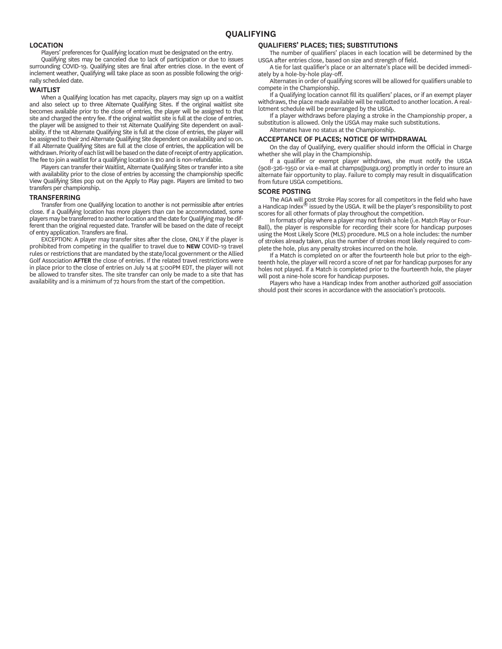### **LOCATION**

Players' preferences for Qualifying location must be designated on the entry.

Qualifying sites may be canceled due to lack of participation or due to issues surrounding COVID-19. Qualifying sites are final after entries close. In the event of inclement weather, Qualifying will take place as soon as possible following the originally scheduled date.

#### **WAITLIST**

When a Qualifying location has met capacity, players may sign up on a waitlist and also select up to three Alternate Qualifying Sites. If the original waitlist site becomes available prior to the close of entries, the player will be assigned to that site and charged the entry fee. If the original waitlist site is full at the close of entries, the player will be assigned to their 1st Alternate Qualifying Site dependent on availability. If the 1st Alternate Qualifying Site is full at the close of entries, the player will be assigned to their 2nd Alternate Qualifying Site dependent on availability and so on. If all Alternate Qualifying Sites are full at the close of entries, the application will be withdrawn. Priority of each list will be based on the date of receipt of entry application. The fee to join a waitlist for a qualifying location is \$10 and is non-refundable.

Players can transfer their Waitlist, Alternate Qualifying Sites or transfer into a site with availability prior to the close of entries by accessing the championship specific View Qualifying Sites pop out on the Apply to Play page. Players are limited to two transfers per championship.

#### **TRANSFERRING**

Transfer from one Qualifying location to another is not permissible after entries close. If a Qualifying location has more players than can be accommodated, some players may be transferred to another location and the date for Qualifying may be different than the original requested date. Transfer will be based on the date of receipt of entry application. Transfers are final.

EXCEPTION: A player may transfer sites after the close, ONLY if the player is prohibited from competing in the qualifier to travel due to **NEW** COVID-19 travel rules or restrictions that are mandated by the state/local government or the Allied Golf Association **AFTER** the close of entries. If the related travel restrictions were in place prior to the close of entries on July 14 at 5:00PM EDT, the player will not be allowed to transfer sites. The site transfer can only be made to a site that has availability and is a minimum of 72 hours from the start of the competition.

#### **QUALIFIERS' PLACES; TIES; SUBSTITUTIONS**

The number of qualifiers' places in each location will be determined by the USGA after entries close, based on size and strength of field.

A tie for last qualifier's place or an alternate's place will be decided immediately by a hole-by-hole play-off.

Alternates in order of qualifying scores will be allowed for qualifiers unable to compete in the Championship.

If a Qualifying location cannot fill its qualifiers' places, or if an exempt player withdraws, the place made available will be reallotted to another location. A reallotment schedule will be prearranged by the USGA.

If a player withdraws before playing a stroke in the Championship proper, a substitution is allowed. Only the USGA may make such substitutions. Alternates have no status at the Championship.

#### **ACCEPTANCE OF PLACES; NOTICE OF WITHDRAWAL**

On the day of Qualifying, every qualifier should inform the Official in Charge whether she will play in the Championship.

If a qualifier or exempt player withdraws, she must notify the USGA (908-326-1950 or via e-mail at champs@usga.org) promptly in order to insure an alternate fair opportunity to play. Failure to comply may result in disqualification from future USGA competitions.

#### **SCORE POSTING**

The AGA will post Stroke Play scores for all competitors in the field who have a Handicap Index® issued by the USGA. It will be the player's responsibility to post scores for all other formats of play throughout the competition.

In formats of play where a player may not finish a hole (i.e. Match Play or Four-Ball), the player is responsible for recording their score for handicap purposes using the Most Likely Score (MLS) procedure. MLS on a hole includes: the number of strokes already taken, plus the number of strokes most likely required to complete the hole, plus any penalty strokes incurred on the hole.

If a Match is completed on or after the fourteenth hole but prior to the eighteenth hole, the player will record a score of net par for handicap purposes for any holes not played. If a Match is completed prior to the fourteenth hole, the player will post a nine-hole score for handicap purposes.

Players who have a Handicap Index from another authorized golf association should post their scores in accordance with the association's protocols.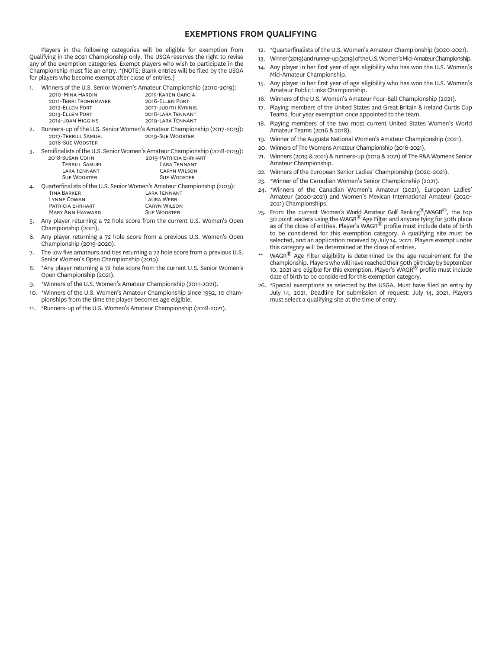## **EXEMPTIONS FROM QUALIFYING**

Players in the following categories will be eligible for exemption from Qualifying in the 2021 Championship only. The USGAreserves the right to revise any of the exemption categories. Exempt players who wish to participate in the Championship must file an entry. \*(NOTE: Blank entries will be filed by the USGA for players who become exempt after close of entries.)

1. Winners of the U.S. Senior Women's Amateur Championship (2010-2019):

| 2010-MINA HARDIN      | 2015-KAREN GARCIA   |
|-----------------------|---------------------|
| 2011-TERRI FROHNMAYER | 2016-ELLEN PORT     |
| 2012-ELLEN PORT       | 2017-JUDITH KYRINIS |
| 2013-ELLEN PORT       | 2018-LARA TENNANT   |
| 2014-JOAN HIGGINS     | 2019-LARA TENNANT   |
|                       |                     |

- 2. Runners-up of the U.S. Senior Women's Amateur Championship (2017-2019):<br>2017-TERRILL SAMUEL 2009-SUE WOOSTER 2019-SUE WOOSTER 2018-SUE WOOSTER
- 3. Semifinalists of the U.S. Senior Women's Amateur Championship (2018-2019): 2018-SLISAN COUN

| ZUIU-JUJAIN CUFIN     | <b><i>LUISTAINIUM LANANI</i></b> |
|-----------------------|----------------------------------|
| <b>TERRILL SAMUEL</b> | <b>LARA TENNANT</b>              |
| LARA TENNANT          | <b>CARYN WILSON</b>              |
| <b>SUE WOOSTER</b>    | <b>SUE WOOSTER</b>               |
|                       |                                  |

- 4. Quarterfinalists of the U.S. Senior Women's Amateur Championship (2019):<br>TINA BARKER LARA TENNANT<br>LAURA WEBB L C L W **PATRICIA EHRHART CARYN WILSON**<br>MARY ANN HAYWARD SUE WOOSTER MARY ANN HAYWARD
- Any player returning a 72 hole score from the current U.S. Women's Open Championship (2021).
- 6. Any player returning a 72 hole score from a previous U.S. Women's Open Championship (2019-2020).
- 7. The low five amateurs and ties returning a 72 hole score from a previous U.S. Senior Women's Open Championship (2019).
- 8. \*Any player returning a 72 hole score from the current U.S. Senior Women's Open Championship (2021).
- 9. \*Winners of the U.S. Women's Amateur Championship (2011-2021).
- 10. \*Winners of the U.S. Women's Amateur Championship since 1992, 10 cham pionships from the time the player becomes age eligible.
- 11. \*Runners-up of the U.S. Women's Amateur Championship (2018-2021).
- 12. \*Quarterfinalists of the U.S. Women's Amateur Championship (2020-2021).
- 13. Winner (2019) and runner-up (2019) of the U.S. Women's Mid-Amateur Championship.
- 14. Any player in her first year of age eligibility who has won the U.S. Women's Mid-Amateur Championship.
- 15. Any player in her first year of age eligibility who has won the U.S. Women's Amateur Public Links Championship.
- 16. Winners of the U.S. Women's Amateur Four-Ball Championship (2021).
- 17. Playing members of the United States and Great Britain & Ireland Curtis Cup Teams, four year exemption once appointed to the team.
- 18. Playing members of the two most current United States Women's World Amateur Teams (2016 & 2018).
- 19. Winner of the Augusta National Women's Amateur Championship (2021).
- 20. Winners of The Womens Amateur Championship (2016-2021).
- 21. Winners (2019 & 2021) & runners-up (2019 & 2021) of The R&A Womens Senior Amateur Championship.
- 22. Winners of the European Senior Ladies' Championship (2020-2021).
- 23. \*Winner of the Canadian Women's Senior Championship (2021).
- 24. \*Winners of the Canadian Women's Amateur (2021), European Ladies' Amateur (2020-2021) and Women's Mexican International Amateur (2020- 2021) Championships.
- 25. From the current Women's World Amateur Golf Ranking $^{\circledR}/WAGR^{\circledR}$ , the top 30 point leaders using the WAGR® Age Filter and anyone tying for 30th place as of the close of entries. Player's WAGR<sup>®</sup> profile must include date of birth to be considered for this exemption category. A qualifying site must be selected, and an application received by July 14, 2021. Players exempt under this category will be determined at the close of entries.
- $WAGR^@$  Age Filter eligibility is determined by the age requirement for the championship. Players who will have reached their 50th birthday by September 10, 2021 are eligible for this exemption. Player's WAGR® profile must include date of birth to be considered for this exemption category.
- 26. \*Special exemptions as selected by the USGA. Must have filed an entry by July 14, 2021. Deadline for submission of request: July 14, 2021. Players must select a qualifying site at the time of entry.